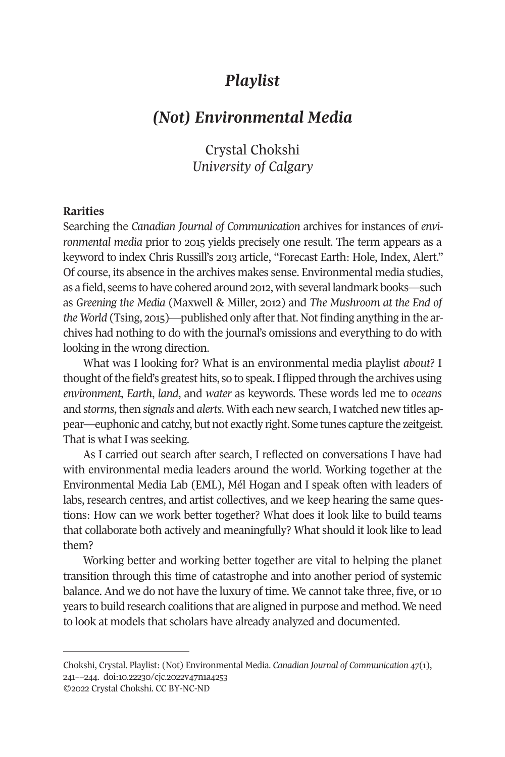# *Playlist*

# *(Not) Environmental Media*

Crystal Chokshi *University of Calgary* 

# **Rarities**

Searching the *Canadian Journal of Communication* archives for instances of *environmental media* prior to 2015 yields precisely one result. The term appears as a keyword to index Chris Russill's 2013 article, "Forecast Earth: Hole, Index, Alert." Of course, its absence in the archives makes sense. Environmental media studies, as a field, seems to have cohered around 2012, with several landmark books—such as *Greening the Media* (Maxwell & Miller, 2012) and *The Mushroom at the End of the World* (Tsing, 2015)—published only after that. Not finding anything in the archives had nothing to do with the journal's omissions and everything to do with looking in the wrong direction.

What was I looking for? What is an environmental media playlist *about*? I thought of the field's greatest hits, so to speak. I flipped through the archives using *environment*, *Earth*, *land*, and *water* as keywords. These words led me to *oceans* and *storms*, then *signals* and *alerts*. With each new search, I watched new titles appear—euphonic and catchy, but not exactly right. Some tunes capture the zeitgeist. That is what I was seeking.

As I carried out search after search, I reflected on conversations I have had with environmental media leaders around the world. Working together at the Environmental Media Lab (EML), Mél Hogan and I speak often with leaders of labs, research centres, and artist collectives, and we keep hearing the same questions: How [can we work better tog](https://doi.org/10.22230/cjc.2022v47n1a4253)ether? What does it look like to build teams that collaborate both actively and meaningfully? What should it look like to lead them?

Working better and working better together are vital to helping the planet transition through this time of catastrophe and into another period of systemic balance. And we do not have the luxury of time. We cannot take three, five, or 10 years to build research coalitions that are aligned in purpose and method. We need to look at models that scholars have already analyzed and documented.

Chokshi, Crystal. Playlist: (Not) Environmental Media. *Canadian Journal of Communication 47*(1), 241––244. doi:10.22230/cjc.2022v47n1a4253 ©2022 Crystal Chokshi. CC BY-NC-ND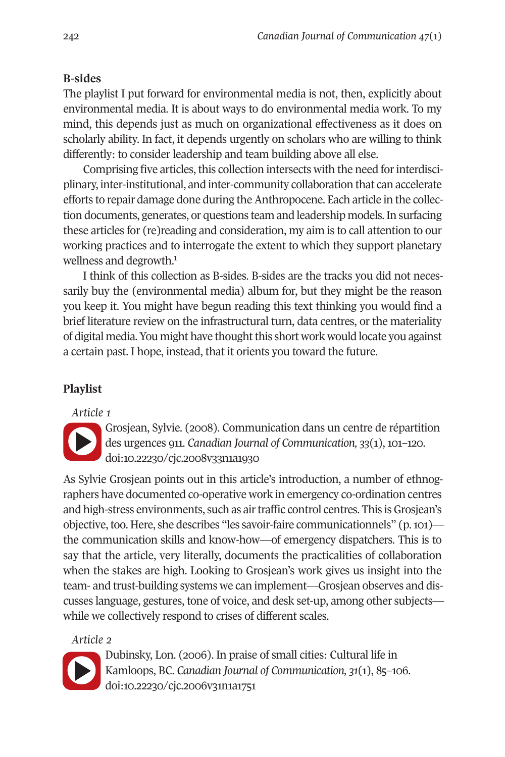242 *Canadian Journal of Communication 47*(1)

# **B-sides**

The playlist I put forw[ar](#page-3-0)d for environmental media is not, then, explicitly about environmental media. It is about ways to do environmental media work. To my mind, this depends just as much on organizational effectiveness as it does on scholarly ability. In fact, it depends urgently on scholars who are willing to think differently: to consider leadership and team building above all else.

Comprising five articles, this collection intersects with the need for interdisciplinary, inter-institutional, and inter-community collaboration that can accelerate efforts to repair damage done during the Anthropocene. Each article in the collection documents, generates, or questions team and leadership models. In surfacing these articles for (re)reading and consideration, my aim is to call attention to our working practices and to interrogate the extent to which they support planetary [wellness](https://doi.org/10.22230/cjc.2008v33n1a1930) and degrowth.<sup>1</sup>

I think of this collection as B-sides. B-sides are the tracks you did not necessarily buy t[he \(environmental media\) alb](https://doi.org/10.22230/cjc.2008v33n1a1930)um for, but they might be the reason you keep it. You might have begun reading this text thinking you would find a brief literature review on the infrastructural turn, data centres, or the materiality of digital media. You might have thought this short work would locate you against a certain past. I hope, instead, that it orients you toward the future.

## **Playlist**

*Article 1* 



Grosjean, Sylvie. (2008). Communication dans un centre de répartition des urgences 911. *Canadian Journal of Communication, 33*(1), 101–120. doi:10.22230/cjc.2008v33n1a1930

As Sylvie Grosjean points out in this article's introduction, a number of ethnog[raphers h](https://doi.org/10.22230/cjc.2006v31n1a1751)ave documented co-operative work in emergency co-ordination centres and high-str[ess environments, such as air](https://doi.org/10.22230/cjc.2006v31n1a1751) traffic control centres. This is Grosjean's objective, too. Here, she describes "les savoir-faire communicationnels" (p. 101) the communication skills and know-how—of emergency dispatchers. This is to say that the article, very literally, documents the practicalities of collaboration when the stakes are high. Looking to Grosjean's work gives us insight into the team- and trust-building systems we can implement—Grosjean observes and discusses language, gestures, tone of voice, and desk set-up, among other subjects while we collectively respond to crises of different scales.

# *Article 2*



Dubinsky, Lon. (2006). In praise of small cities: Cultural life in Kamloops, BC. *Canadian Journal of Communication, 31*(1), 85–106. doi:10.22230/cjc.2006v31n1a1751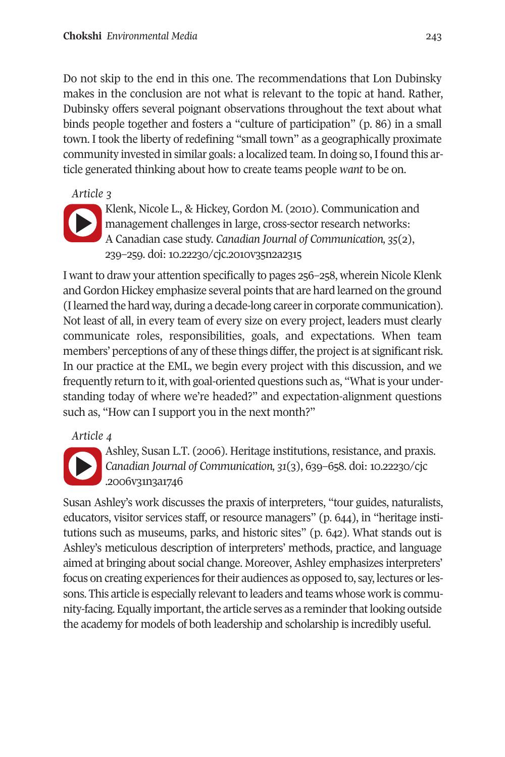### **[Chokshi](https://doi.org/10.22230/cjc.2010v35n2a2315)** *Environmental Media* 243

Do not skip to the e[nd in this one. The recomme](https://doi.org/10.22230/cjc.2010v35n2a2315)ndations that Lon Dubinsky makes in the conclusion are not what is relevant to the topic at hand. Rather, Dubinsky offers several poignant observations throughout the text about what binds people together and fosters a "culture of participation" (p. 86) in a small town. I took the liberty of redefining "small town" as a geographically proximate community invested in similar goals: a localized team. In doing so, I found this article generated thinking about how to create teams people *want* to be on.

# *Article 3*



Klenk, Nicole L., & Hickey, Gordon M. (2010). Communication and management challenges in large, cross-sector research networks: A Canadian case study. *Canadian Journal of Communication, 35*(2), 239–259. doi: 10.22230/cjc.2010v35n2a2315

I want to draw your attention specifically to pages 256–258, wherein Nicole Klenk [and Gord](https://doi.org/10.22230/cjc.2006v31n3a1746)on Hickey emphasize several points that are hard learne[d on the groun](https://doi.org/10.22230/cjc.2006v31n3a1746)d (I learne[d the hard way, du](https://doi.org/10.22230/cjc.2006v31n3a1746)ring a decade-long career in corporate communication). Not least of all, in every team of every size on every project, leaders must clearly communicate roles, responsibilities, goals, and expectations. When team members' perceptions of any of these things differ, the project is at significant risk. In our practice at the EML, we begin every project with this discussion, and we frequently return to it, with goal-oriented questions such as, "What is your understanding today of where we're headed?" and expectation-alignment questions such as, "How can I support you in the next month?"

### *Article 4*



Ashley, Susan L.T. (2006). Heritage institutions, resistance, and praxis. *Canadian Journal of Communication, 31*(3), 639–658. doi: 10.22230/cjc .2006v31n3a1746

Susan Ashley's work discusses the praxis of interpreters, "tour guides, naturalists, educators, visitor services staff, or resource managers" (p. 644), in "heritage institutions such as museums, parks, and historic sites" (p. 642). What stands out is Ashley's meticulous description of interpreters' methods, practice, and language aimed at bringing about social change. Moreover, Ashley emphasizes interpreters' focus on creating experiences for their audiences as opposed to, say, lectures or lessons. This article is especially relevant to leaders and teams whose work is community-facing. Equally important, the article serves as a reminder that looking outside the academy for models of both leadership and scholarship is incredibly useful.